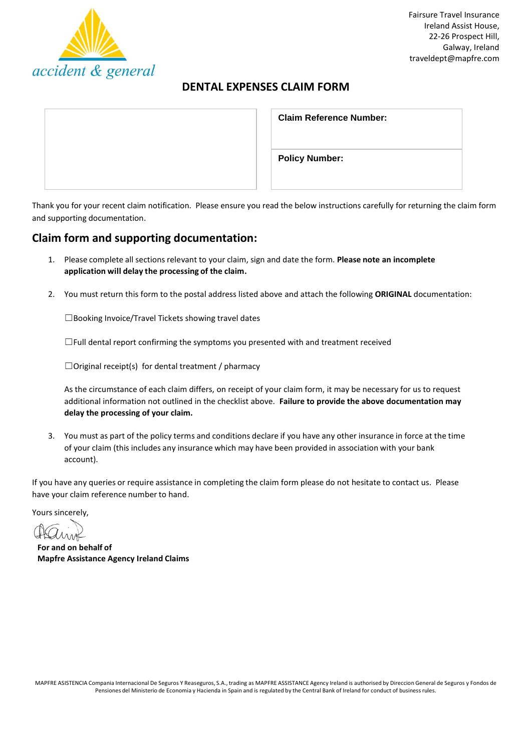

# **DENTAL EXPENSES CLAIM FORM**

| <b>Claim Reference Number:</b> |  |  |
|--------------------------------|--|--|
| <b>Policy Number:</b>          |  |  |

Thank you for your recent claim notification. Please ensure you read the below instructions carefully for returning the claim form and supporting documentation.

# **Claim form and supporting documentation:**

- 1. Please complete all sectionsrelevant to your claim, sign and date the form. **Please note an incomplete application will delay the processing of the claim.**
- 2. You must return this form to the postal address listed above and attach the following **ORIGINAL** documentation:

☐Booking Invoice/Travel Tickets showing travel dates

 $\Box$ Full dental report confirming the symptoms you presented with and treatment received

 $\Box$ Original receipt(s) for dental treatment / pharmacy

As the circumstance of each claim differs, on receipt of your claim form, it may be necessary for us to request additional information not outlined in the checklist above. **Failure to provide the above documentation may delay the processing of your claim.**

3. You must as part of the policy terms and conditions declare if you have any other insurance in force at the time of your claim (this includes any insurance which may have been provided in association with your bank account).

If you have any queries or require assistance in completing the claim form please do not hesitate to contact us. Please have your claim reference number to hand.

Yours sincerely,

**For and on behalf of Mapfre Assistance Agency Ireland Claims**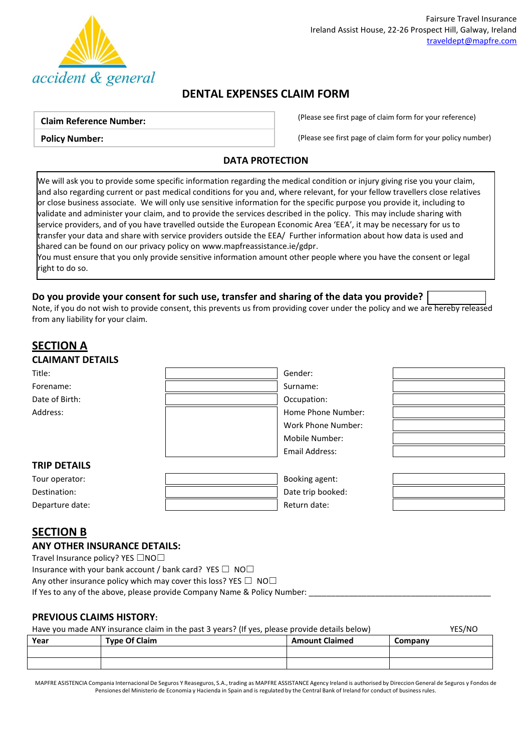

# **DENTAL EXPENSES CLAIM FORM**

#### **Claim Reference Number:**

**Policy Number:**

(Please see first page of claim form for your reference)

(Please see first page of claim form for your policy number)

### **DATA PROTECTION**

We will ask you to provide some specific information regarding the medical condition or injury giving rise you your claim, and also regarding current or past medical conditions for you and, where relevant, for your fellow travellers close relatives or close business associate. We will only use sensitive information for the specific purpose you provide it, including to validate and administer your claim, and to provide the services described in the policy. This may include sharing with service providers, and of you have travelled outside the European Economic Area 'EEA', it may be necessary for us to transfer your data and share with service providers outside the EEA/ Further information about how data is used and shared can be found on our privacy policy o[n www.mapfreassistance.ie/gdpr.](http://www.mapfreassistance.ie/gdpr)

You must ensure that you only provide sensitive information amount other people where you have the consent or legal right to do so.

## **Do you provide your consent for such use, transfer and sharing of the data you provide?**

Note, if you do not wish to provide consent, this prevents us from providing cover under the policy and we are hereby released from any liability for your claim.

# **SECTION A CLAIMANT DETAILS** Title: Gender: Forename: Surname: Surname: Surname: Surname: Surname: Surname: Surname: Surname: Surname: Surname: Surname: Surname: Surname: Surname: Surname: Surname: Surname: Surname: Surname: Surname: Surname: Surname: Surname: Surna Date of Birth:  $\qquad \qquad \qquad$  Date of Birth: Address: Note and the Mumber: Note and the Mumber: Home Phone Number: Work Phone Number: Mobile Number: Email Address: **TRIP DETAILS** Tour operator: Booking agent: Destination:  $\begin{vmatrix} \cdot & \cdot & \cdot \\ \cdot & \cdot & \cdot \\ \cdot & \cdot & \cdot \end{vmatrix}$  Date trip booked:

# **SECTION B**

#### **ANY OTHER INSURANCE DETAILS:**

Travel Insurance policy? YES □NO□

Insurance with your bank account / bank card? YES  $\Box$  NO $\Box$ 

Any other insurance policy which may cover this loss? YES  $\Box$  NO $\Box$ 

If Yes to any of the above, please provide Company Name & Policy Number:

Departure date:  $\qquad \qquad$  |  $\qquad \qquad$  Return date:

## **PREVIOUS CLAIMS HISTORY:**

#### Have you made ANY insurance claim in the past 3 years? (If yes, please provide details below) YES/NO

| Year | <b>Type Of Claim</b> | <b>Amount Claimed</b> | Company |
|------|----------------------|-----------------------|---------|
|      |                      |                       |         |
|      |                      |                       |         |

MAPFRE ASISTENCIA Compania Internacional De Seguros Y Reaseguros, S.A., trading as MAPFRE ASSISTANCE Agency Ireland is authorised by Direccion General de Seguros y Fondos de Pensiones del Ministerio de Economia y Hacienda in Spain and is regulated by the Central Bank of Ireland for conduct of business rules.